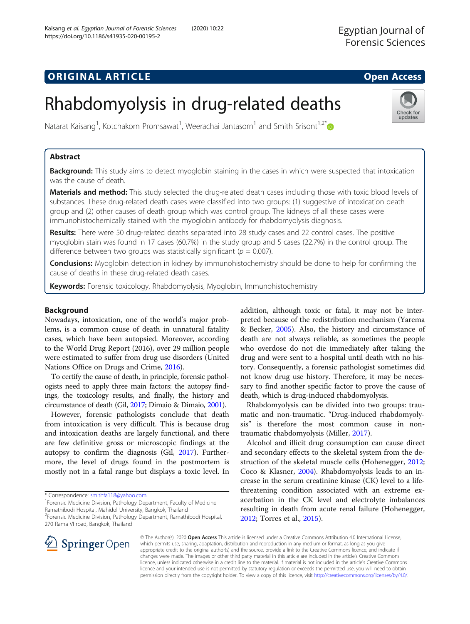# **ORIGINAL ARTICLE CONSERVANCE IN A LOCAL CONSERVANCE IN A LOCAL CONSERVANCE IN A LOCAL CONSERVANCE IN A LOCAL CONS**

Check for updates

# Rhabdomyolysis in drug-related deaths

Natarat Kaisang<sup>1</sup>, Kotchakorn Promsawat<sup>1</sup>, Weerachai Jantasorn<sup>1</sup> and Smith Srisont<sup>1,2[\\*](http://orcid.org/0000-0001-9456-7216)</sup>

# Abstract

Background: This study aims to detect myoglobin staining in the cases in which were suspected that intoxication was the cause of death.

Materials and method: This study selected the drug-related death cases including those with toxic blood levels of substances. These drug-related death cases were classified into two groups: (1) suggestive of intoxication death group and (2) other causes of death group which was control group. The kidneys of all these cases were immunohistochemically stained with the myoglobin antibody for rhabdomyolysis diagnosis.

Results: There were 50 drug-related deaths separated into 28 study cases and 22 control cases. The positive myoglobin stain was found in 17 cases (60.7%) in the study group and 5 cases (22.7%) in the control group. The difference between two groups was statistically significant ( $p = 0.007$ ).

**Conclusions:** Myoglobin detection in kidney by immunohistochemistry should be done to help for confirming the cause of deaths in these drug-related death cases.

Keywords: Forensic toxicology, Rhabdomyolysis, Myoglobin, Immunohistochemistry

# Background

Nowadays, intoxication, one of the world's major problems, is a common cause of death in unnatural fatality cases, which have been autopsied. Moreover, according to the World Drug Report (2016), over 29 million people were estimated to suffer from drug use disorders (United Nations Office on Drugs and Crime, [2016](#page-6-0)).

To certify the cause of death, in principle, forensic pathologists need to apply three main factors: the autopsy findings, the toxicology results, and finally, the history and circumstance of death (Gil, [2017;](#page-6-0) Dimaio & Dimaio, [2001\)](#page-6-0).

However, forensic pathologists conclude that death from intoxication is very difficult. This is because drug and intoxication deaths are largely functional, and there are few definitive gross or microscopic findings at the autopsy to confirm the diagnosis (Gil, [2017\)](#page-6-0). Furthermore, the level of drugs found in the postmortem is mostly not in a fatal range but displays a toxic level. In

\* Correspondence: [smithfa118@yahoo.com](mailto:smithfa118@yahoo.com) <sup>1</sup>

<sup>1</sup>Forensic Medicine Division, Pathology Department, Faculty of Medicine Ramathibodi Hospital, Mahidol University, Bangkok, Thailand

2 Forensic Medicine Division, Pathology Department, Ramathibodi Hospital, 270 Rama VI road, Bangkok, Thailand

addition, although toxic or fatal, it may not be interpreted because of the redistribution mechanism (Yarema & Becker, [2005\)](#page-6-0). Also, the history and circumstance of death are not always reliable, as sometimes the people who overdose do not die immediately after taking the drug and were sent to a hospital until death with no history. Consequently, a forensic pathologist sometimes did not know drug use history. Therefore, it may be necessary to find another specific factor to prove the cause of death, which is drug-induced rhabdomyolysis.

Rhabdomyolysis can be divided into two groups: traumatic and non-traumatic. "Drug-induced rhabdomyolysis" is therefore the most common cause in nontraumatic rhabdomyolysis (Miller, [2017](#page-6-0)).

Alcohol and illicit drug consumption can cause direct and secondary effects to the skeletal system from the destruction of the skeletal muscle cells (Hohenegger, [2012](#page-6-0); Coco & Klasner, [2004\)](#page-6-0). Rhabdomyolysis leads to an increase in the serum creatinine kinase (CK) level to a lifethreatening condition associated with an extreme exacerbation in the CK level and electrolyte imbalances resulting in death from acute renal failure (Hohenegger, [2012](#page-6-0); Torres et al., [2015\)](#page-6-0).



© The Author(s). 2020 Open Access This article is licensed under a Creative Commons Attribution 4.0 International License, which permits use, sharing, adaptation, distribution and reproduction in any medium or format, as long as you give appropriate credit to the original author(s) and the source, provide a link to the Creative Commons licence, and indicate if changes were made. The images or other third party material in this article are included in the article's Creative Commons licence, unless indicated otherwise in a credit line to the material. If material is not included in the article's Creative Commons licence and your intended use is not permitted by statutory regulation or exceeds the permitted use, you will need to obtain permission directly from the copyright holder. To view a copy of this licence, visit <http://creativecommons.org/licenses/by/4.0/>.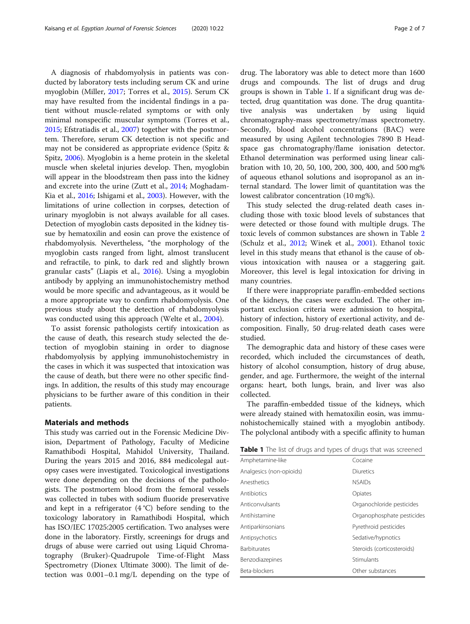A diagnosis of rhabdomyolysis in patients was conducted by laboratory tests including serum CK and urine myoglobin (Miller, [2017;](#page-6-0) Torres et al., [2015](#page-6-0)). Serum CK may have resulted from the incidental findings in a patient without muscle-related symptoms or with only minimal nonspecific muscular symptoms (Torres et al., [2015](#page-6-0); Efstratiadis et al., [2007](#page-6-0)) together with the postmortem. Therefore, serum CK detection is not specific and may not be considered as appropriate evidence (Spitz & Spitz, [2006\)](#page-6-0). Myoglobin is a heme protein in the skeletal muscle when skeletal injuries develop. Then, myoglobin will appear in the bloodstream then pass into the kidney and excrete into the urine (Zutt et al., [2014](#page-6-0); Moghadam-Kia et al., [2016](#page-6-0); Ishigami et al., [2003](#page-6-0)). However, with the limitations of urine collection in corpses, detection of urinary myoglobin is not always available for all cases. Detection of myoglobin casts deposited in the kidney tissue by hematoxilin and eosin can prove the existence of rhabdomyolysis. Nevertheless, "the morphology of the myoglobin casts ranged from light, almost translucent and refractile, to pink, to dark red and slightly brown granular casts" (Liapis et al., [2016](#page-6-0)). Using a myoglobin antibody by applying an immunohistochemistry method would be more specific and advantageous, as it would be a more appropriate way to confirm rhabdomyolysis. One previous study about the detection of rhabdomyolysis was conducted using this approach (Welte et al., [2004](#page-6-0)).

To assist forensic pathologists certify intoxication as the cause of death, this research study selected the detection of myoglobin staining in order to diagnose rhabdomyolysis by applying immunohistochemistry in the cases in which it was suspected that intoxication was the cause of death, but there were no other specific findings. In addition, the results of this study may encourage physicians to be further aware of this condition in their patients.

#### Materials and methods

This study was carried out in the Forensic Medicine Division, Department of Pathology, Faculty of Medicine Ramathibodi Hospital, Mahidol University, Thailand. During the years 2015 and 2016, 884 medicolegal autopsy cases were investigated. Toxicological investigations were done depending on the decisions of the pathologists. The postmortem blood from the femoral vessels was collected in tubes with sodium fluoride preservative and kept in a refrigerator  $(4^{\circ}C)$  before sending to the toxicology laboratory in Ramathibodi Hospital, which has ISO/IEC 17025:2005 certification. Two analyses were done in the laboratory. Firstly, screenings for drugs and drugs of abuse were carried out using Liquid Chromatography (Bruker)-Quadrupole Time-of-Flight Mass Spectrometry (Dionex Ultimate 3000). The limit of detection was 0.001–0.1 mg/L depending on the type of drug. The laboratory was able to detect more than 1600 drugs and compounds. The list of drugs and drug groups is shown in Table 1. If a significant drug was detected, drug quantitation was done. The drug quantitative analysis was undertaken by using liquid chromatography-mass spectrometry/mass spectrometry. Secondly, blood alcohol concentrations (BAC) were measured by using Agilent technologies 7890 B Headspace gas chromatography/flame ionisation detector. Ethanol determination was performed using linear calibration with 10, 20, 50, 100, 200, 300, 400, and 500 mg% of aqueous ethanol solutions and isopropanol as an internal standard. The lower limit of quantitation was the lowest calibrator concentration (10 mg%).

This study selected the drug-related death cases including those with toxic blood levels of substances that were detected or those found with multiple drugs. The toxic levels of common substances are shown in Table [2](#page-2-0) (Schulz et al., [2012;](#page-6-0) Winek et al., [2001\)](#page-6-0). Ethanol toxic level in this study means that ethanol is the cause of obvious intoxication with nausea or a staggering gait. Moreover, this level is legal intoxication for driving in many countries.

If there were inappropriate paraffin-embedded sections of the kidneys, the cases were excluded. The other important exclusion criteria were admission to hospital, history of infection, history of exertional activity, and decomposition. Finally, 50 drug-related death cases were studied.

The demographic data and history of these cases were recorded, which included the circumstances of death, history of alcohol consumption, history of drug abuse, gender, and age. Furthermore, the weight of the internal organs: heart, both lungs, brain, and liver was also collected.

The paraffin-embedded tissue of the kidneys, which were already stained with hematoxilin eosin, was immunohistochemically stained with a myoglobin antibody. The polyclonal antibody with a specific affinity to human

| Table 1 The list of drugs and types of drugs that was screened |  |
|----------------------------------------------------------------|--|
|----------------------------------------------------------------|--|

| Cocaine                    |
|----------------------------|
| Diuretics                  |
| <b>NSAIDs</b>              |
| Opiates                    |
| Organochloride pesticides  |
| Organophosphate pesticides |
| Pyrethroid pesticides      |
| Sedative/hypnotics         |
| Steroids (corticosteroids) |
| Stimulants                 |
| Other substances           |
|                            |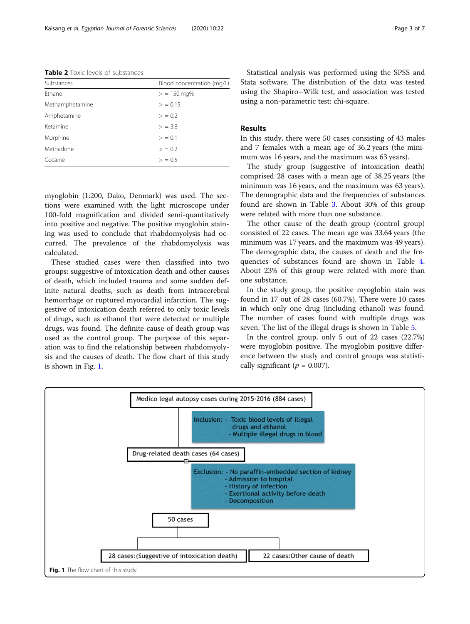<span id="page-2-0"></span>Table 2 Toxic levels of substances

| Substances      | Blood concentration (mg/L) |
|-----------------|----------------------------|
| Ethanol         | $>$ = 150 mg%              |
| Methamphetamine | > 0.15                     |
| Amphetamine     | > 0.2                      |
| Ketamine        | $>$ = 3.8                  |
| Morphine        | > 0.1                      |
| Methadone       | > 0.2                      |
| Cocaine         | > 0.5                      |

myoglobin (1:200, Dako, Denmark) was used. The sections were examined with the light microscope under 100-fold magnification and divided semi-quantitatively into positive and negative. The positive myoglobin staining was used to conclude that rhabdomyolysis had occurred. The prevalence of the rhabdomyolysis was calculated.

These studied cases were then classified into two groups: suggestive of intoxication death and other causes of death, which included trauma and some sudden definite natural deaths, such as death from intracerebral hemorrhage or ruptured myocardial infarction. The suggestive of intoxication death referred to only toxic levels of drugs, such as ethanol that were detected or multiple drugs, was found. The definite cause of death group was used as the control group. The purpose of this separation was to find the relationship between rhabdomyolysis and the causes of death. The flow chart of this study is shown in Fig. 1.

Statistical analysis was performed using the SPSS and Stata software. The distribution of the data was tested using the Shapiro–Wilk test, and association was tested using a non-parametric test: chi-square.

## Results

In this study, there were 50 cases consisting of 43 males and 7 females with a mean age of 36.2 years (the minimum was 16 years, and the maximum was 63 years).

The study group (suggestive of intoxication death) comprised 28 cases with a mean age of 38.25 years (the minimum was 16 years, and the maximum was 63 years). The demographic data and the frequencies of substances found are shown in Table [3](#page-3-0). About 30% of this group were related with more than one substance.

The other cause of the death group (control group) consisted of 22 cases. The mean age was 33.64 years (the minimum was 17 years, and the maximum was 49 years). The demographic data, the causes of death and the frequencies of substances found are shown in Table [4](#page-4-0). About 23% of this group were related with more than one substance.

In the study group, the positive myoglobin stain was found in 17 out of 28 cases (60.7%). There were 10 cases in which only one drug (including ethanol) was found. The number of cases found with multiple drugs was seven. The list of the illegal drugs is shown in Table [5](#page-4-0).

In the control group, only 5 out of 22 cases (22.7%) were myoglobin positive. The myoglobin positive difference between the study and control groups was statistically significant ( $p = 0.007$ ).

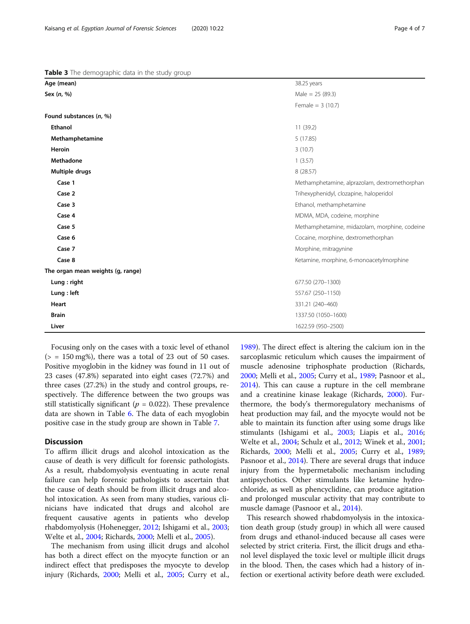Focusing only on the cases with a toxic level of ethanol  $(> = 150 \text{ mg\%})$ , there was a total of 23 out of 50 cases. Positive myoglobin in the kidney was found in 11 out of 23 cases (47.8%) separated into eight cases (72.7%) and three cases (27.2%) in the study and control groups, respectively. The difference between the two groups was still statistically significant ( $p = 0.022$ ). These prevalence data are shown in Table [6](#page-5-0). The data of each myoglobin positive case in the study group are shown in Table [7.](#page-5-0)

### **Discussion**

To affirm illicit drugs and alcohol intoxication as the cause of death is very difficult for forensic pathologists. As a result, rhabdomyolysis eventuating in acute renal failure can help forensic pathologists to ascertain that the cause of death should be from illicit drugs and alcohol intoxication. As seen from many studies, various clinicians have indicated that drugs and alcohol are frequent causative agents in patients who develop rhabdomyolysis (Hohenegger, [2012;](#page-6-0) Ishigami et al., [2003](#page-6-0); Welte et al., [2004](#page-6-0); Richards, [2000;](#page-6-0) Melli et al., [2005](#page-6-0)).

The mechanism from using illicit drugs and alcohol has both a direct effect on the myocyte function or an indirect effect that predisposes the myocyte to develop injury (Richards, [2000](#page-6-0); Melli et al., [2005](#page-6-0); Curry et al.,

[1989](#page-6-0)). The direct effect is altering the calcium ion in the sarcoplasmic reticulum which causes the impairment of muscle adenosine triphosphate production (Richards, [2000](#page-6-0); Melli et al., [2005;](#page-6-0) Curry et al., [1989](#page-6-0); Pasnoor et al., [2014](#page-6-0)). This can cause a rupture in the cell membrane and a creatinine kinase leakage (Richards, [2000\)](#page-6-0). Furthermore, the body's thermoregulatory mechanisms of heat production may fail, and the myocyte would not be able to maintain its function after using some drugs like stimulants (Ishigami et al., [2003;](#page-6-0) Liapis et al., [2016](#page-6-0); Welte et al., [2004;](#page-6-0) Schulz et al., [2012](#page-6-0); Winek et al., [2001](#page-6-0); Richards, [2000](#page-6-0); Melli et al., [2005;](#page-6-0) Curry et al., [1989](#page-6-0); Pasnoor et al., [2014\)](#page-6-0). There are several drugs that induce injury from the hypermetabolic mechanism including antipsychotics. Other stimulants like ketamine hydrochloride, as well as phencyclidine, can produce agitation and prolonged muscular activity that may contribute to muscle damage (Pasnoor et al., [2014\)](#page-6-0).

This research showed rhabdomyolysis in the intoxication death group (study group) in which all were caused from drugs and ethanol-induced because all cases were selected by strict criteria. First, the illicit drugs and ethanol level displayed the toxic level or multiple illicit drugs in the blood. Then, the cases which had a history of infection or exertional activity before death were excluded.

<span id="page-3-0"></span>

|  |  | Table 3 The demographic data in the study group |  |  |  |  |
|--|--|-------------------------------------------------|--|--|--|--|
|--|--|-------------------------------------------------|--|--|--|--|

| Age (mean)                          | 38.25 years                                   |  |  |
|-------------------------------------|-----------------------------------------------|--|--|
| Sex (n, %)                          | Male = $25(89.3)$                             |  |  |
|                                     | Female = $3(10.7)$                            |  |  |
| Found substances (n, %)             |                                               |  |  |
| <b>Ethanol</b>                      | 11 (39.2)                                     |  |  |
| Methamphetamine                     | 5(17.85)                                      |  |  |
| Heroin                              | 3(10.7)                                       |  |  |
| Methadone                           | 1(3.57)                                       |  |  |
| Multiple drugs                      | 8 (28.57)                                     |  |  |
| Case 1                              | Methamphetamine, alprazolam, dextromethorphan |  |  |
| Case 2                              | Trihexyphenidyl, clozapine, haloperidol       |  |  |
| Case 3                              | Ethanol, methamphetamine                      |  |  |
| Case 4                              | MDMA, MDA, codeine, morphine                  |  |  |
| Case 5                              | Methamphetamine, midazolam, morphine, codeine |  |  |
| Case 6                              | Cocaine, morphine, dextromethorphan           |  |  |
| Case 7                              | Morphine, mitragynine                         |  |  |
| Case 8                              | Ketamine, morphine, 6-monoacetylmorphine      |  |  |
| The organ mean weights (g, range)   |                                               |  |  |
| Lung : right                        | 677.50 (270-1300)                             |  |  |
| Lung : left                         | 557.67 (250-1150)                             |  |  |
| Heart<br>331.21 (240-460)           |                                               |  |  |
| <b>Brain</b><br>1337.50 (1050-1600) |                                               |  |  |
| Liver                               | 1622.59 (950-2500)                            |  |  |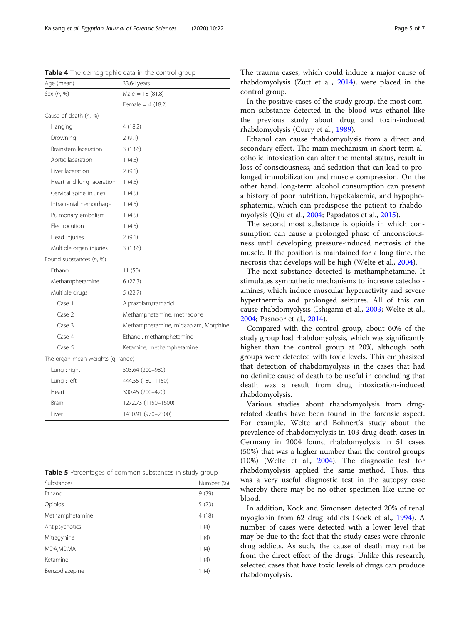<span id="page-4-0"></span>Table 4 The demographic data in the control group

| Age (mean)                        | 33.64 years                          |
|-----------------------------------|--------------------------------------|
| Sex (n, %)                        | Male = $18(81.8)$                    |
|                                   | Female = $4(18.2)$                   |
| Cause of death (n, %)             |                                      |
| Hanging                           | 4(18.2)                              |
| Drowning                          | 2(9.1)                               |
| Brainstem laceration              | 3(13.6)                              |
| Aortic laceration                 | 1(4.5)                               |
| Liver laceration                  | 2(9.1)                               |
| Heart and lung laceration         | 1(4.5)                               |
| Cervical spine injuries           | 1(4.5)                               |
| Intracranial hemorrhage           | 1(4.5)                               |
| Pulmonary embolism                | 1(4.5)                               |
| Electrocution                     | 1(4.5)                               |
| Head injuries                     | 2(9.1)                               |
| Multiple organ injuries           | 3(13.6)                              |
| Found substances (n, %)           |                                      |
| Fthanol                           | 11(50)                               |
| Methamphetamine                   | 6(27.3)                              |
| Multiple drugs                    | 5(22.7)                              |
| Case 1                            | Alprazolam,tramadol                  |
| Case 2                            | Methamphetamine, methadone           |
| Case 3                            | Methamphetamine, midazolam, Morphine |
| Case 4                            | Ethanol, methamphetamine             |
| Case 5                            | Ketamine, methamphetamine            |
| The organ mean weights (g, range) |                                      |
| Lung : right                      | 503.64 (200-980)                     |
| Lung : left                       | 444.55 (180-1150)                    |
| Heart                             | 300.45 (200-420)                     |
| <b>Brain</b>                      | 1272.73 (1150-1600)                  |
| Liver                             | 1430.91 (970-2300)                   |

| Table 5 Percentages of common substances in study group |  |  |  |  |
|---------------------------------------------------------|--|--|--|--|
|---------------------------------------------------------|--|--|--|--|

| Substances      | Number (%) |
|-----------------|------------|
| Ethanol         | 9(39)      |
| Opioids         | 5(23)      |
| Methamphetamine | 4(18)      |
| Antipsychotics  | 1(4)       |
| Mitragynine     | 1(4)       |
| MDA, MDMA       | 1(4)       |
| Ketamine        | 1(4)       |
| Benzodiazepine  | 1(4)       |
|                 |            |

The trauma cases, which could induce a major cause of rhabdomyolysis (Zutt et al., [2014](#page-6-0)), were placed in the control group.

In the positive cases of the study group, the most common substance detected in the blood was ethanol like the previous study about drug and toxin-induced rhabdomyolysis (Curry et al., [1989](#page-6-0)).

Ethanol can cause rhabdomyolysis from a direct and secondary effect. The main mechanism in short-term alcoholic intoxication can alter the mental status, result in loss of consciousness, and sedation that can lead to prolonged immobilization and muscle compression. On the other hand, long-term alcohol consumption can present a history of poor nutrition, hypokalaemia, and hypophosphatemia, which can predispose the patient to rhabdomyolysis (Qiu et al., [2004](#page-6-0); Papadatos et al., [2015\)](#page-6-0).

The second most substance is opioids in which consumption can cause a prolonged phase of unconsciousness until developing pressure-induced necrosis of the muscle. If the position is maintained for a long time, the necrosis that develops will be high (Welte et al., [2004\)](#page-6-0).

The next substance detected is methamphetamine. It stimulates sympathetic mechanisms to increase catecholamines, which induce muscular hyperactivity and severe hyperthermia and prolonged seizures. All of this can cause rhabdomyolysis (Ishigami et al., [2003](#page-6-0); Welte et al., [2004](#page-6-0); Pasnoor et al., [2014\)](#page-6-0).

Compared with the control group, about 60% of the study group had rhabdomyolysis, which was significantly higher than the control group at 20%, although both groups were detected with toxic levels. This emphasized that detection of rhabdomyolysis in the cases that had no definite cause of death to be useful in concluding that death was a result from drug intoxication-induced rhabdomyolysis.

Various studies about rhabdomyolysis from drugrelated deaths have been found in the forensic aspect. For example, Welte and Bohnert's study about the prevalence of rhabdomyolysis in 103 drug death cases in Germany in 2004 found rhabdomyolysis in 51 cases (50%) that was a higher number than the control groups (10%) (Welte et al., [2004\)](#page-6-0). The diagnostic test for rhabdomyolysis applied the same method. Thus, this was a very useful diagnostic test in the autopsy case whereby there may be no other specimen like urine or blood.

In addition, Kock and Simonsen detected 20% of renal myoglobin from 62 drug addicts (Kock et al., [1994](#page-6-0)). A number of cases were detected with a lower level that may be due to the fact that the study cases were chronic drug addicts. As such, the cause of death may not be from the direct effect of the drugs. Unlike this research, selected cases that have toxic levels of drugs can produce rhabdomyolysis.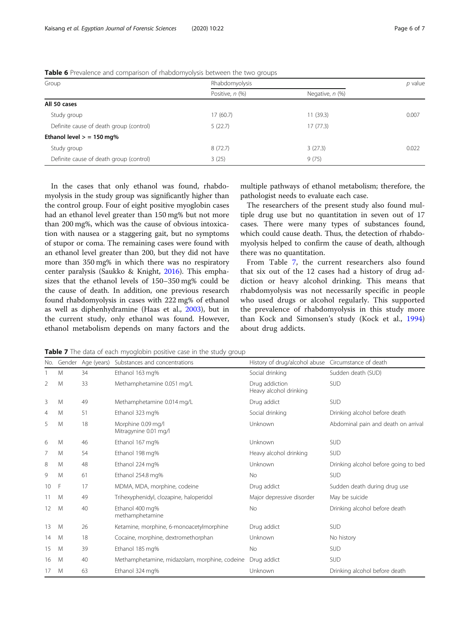| Group                                   | Rhabdomyolysis  |                      |       |  |
|-----------------------------------------|-----------------|----------------------|-------|--|
|                                         | Positive, n (%) | Negative, $n$ $(\%)$ |       |  |
| All 50 cases                            |                 |                      |       |  |
| Study group                             | 17(60.7)        | 11(39.3)             | 0.007 |  |
| Definite cause of death group (control) | 5(22.7)         | 17(77.3)             |       |  |
| Ethanol level $>$ = 150 mg%             |                 |                      |       |  |
| Study group                             | 8(72.7)         | 3(27.3)              | 0.022 |  |
| Definite cause of death group (control) | 3(25)           | 9(75)                |       |  |

<span id="page-5-0"></span>Table 6 Prevalence and comparison of rhabdomyolysis between the two groups

In the cases that only ethanol was found, rhabdomyolysis in the study group was significantly higher than the control group. Four of eight positive myoglobin cases had an ethanol level greater than 150 mg% but not more than 200 mg%, which was the cause of obvious intoxication with nausea or a staggering gait, but no symptoms of stupor or coma. The remaining cases were found with an ethanol level greater than 200, but they did not have more than 350 mg% in which there was no respiratory center paralysis (Saukko & Knight, [2016\)](#page-6-0). This emphasizes that the ethanol levels of 150–350 mg% could be the cause of death. In addition, one previous research found rhabdomyolysis in cases with 222 mg% of ethanol as well as diphenhydramine (Haas et al., [2003\)](#page-6-0), but in the current study, only ethanol was found. However, ethanol metabolism depends on many factors and the multiple pathways of ethanol metabolism; therefore, the pathologist needs to evaluate each case.

The researchers of the present study also found multiple drug use but no quantitation in seven out of 17 cases. There were many types of substances found, which could cause death. Thus, the detection of rhabdomyolysis helped to confirm the cause of death, although there was no quantitation.

From Table 7, the current researchers also found that six out of the 12 cases had a history of drug addiction or heavy alcohol drinking. This means that rhabdomyolysis was not necessarily specific in people who used drugs or alcohol regularly. This supported the prevalence of rhabdomyolysis in this study more than Kock and Simonsen's study (Kock et al., [1994](#page-6-0)) about drug addicts.

Table 7 The data of each myoglobin positive case in the study group

| No. | Gender | Age (years) | Substances and concentrations                 | History of drug/alcohol abuse Circumstance of death |                                      |
|-----|--------|-------------|-----------------------------------------------|-----------------------------------------------------|--------------------------------------|
|     | M      | 34          | Ethanol 163 mg%                               | Social drinking                                     | Sudden death (SUD)                   |
| 2   | M      | 33          | Methamphetamine 0.051 mg/L                    | Drug addiction<br>Heavy alcohol drinking            | <b>SUD</b>                           |
| 3   | M      | 49          | Methamphetamine 0.014 mg/L                    | Drug addict                                         | <b>SUD</b>                           |
| 4   | M      | 51          | Ethanol 323 mg%                               | Social drinking                                     | Drinking alcohol before death        |
| 5   | M      | 18          | Morphine 0.09 mg/l<br>Mitragynine 0.01 mg/l   | Unknown                                             | Abdominal pain and death on arrival  |
| 6   | M      | 46          | Ethanol 167 mg%                               | Unknown                                             | <b>SUD</b>                           |
| 7   | M      | 54          | Ethanol 198 mg%                               | Heavy alcohol drinking                              | <b>SUD</b>                           |
| 8   | M      | 48          | Ethanol 224 mg%                               | Unknown                                             | Drinking alcohol before going to bed |
| 9   | M      | 61          | Ethanol 254.8 mg%                             | <b>No</b>                                           | <b>SUD</b>                           |
| 10  | F      | 17          | MDMA, MDA, morphine, codeine                  | Drug addict                                         | Sudden death during drug use         |
| 11  | M      | 49          | Trihexyphenidyl, clozapine, haloperidol       | Major depressive disorder                           | May be suicide                       |
| 12  | M      | 40          | Ethanol 400 mg%<br>methamphetamine            | <b>No</b>                                           | Drinking alcohol before death        |
| 13  | M      | 26          | Ketamine, morphine, 6-monoacetylmorphine      | Drug addict                                         | <b>SUD</b>                           |
| 14  | M      | 18          | Cocaine, morphine, dextromethorphan           | Unknown                                             | No history                           |
| 15  | M      | 39          | Ethanol 185 mg%                               | <b>No</b>                                           | <b>SUD</b>                           |
| 16  | M      | 40          | Methamphetamine, midazolam, morphine, codeine | Drug addict                                         | <b>SUD</b>                           |
| 17  | M      | 63          | Ethanol 324 mg%                               | Unknown                                             | Drinking alcohol before death        |